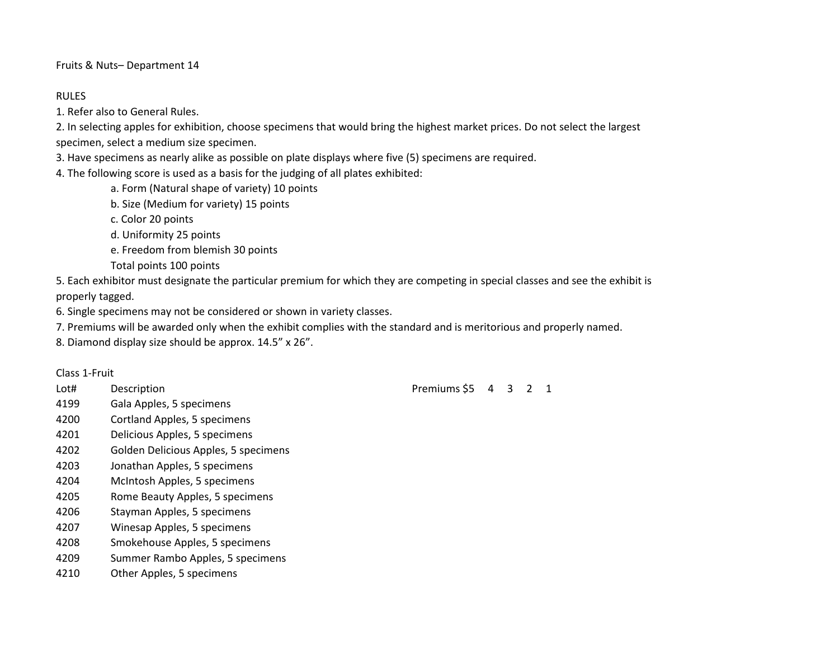Fruits & Nuts– Department 14

## RULES

1. Refer also to General Rules.

2. In selecting apples for exhibition, choose specimens that would bring the highest market prices. Do not select the largest specimen, select a medium size specimen.

3. Have specimens as nearly alike as possible on plate displays where five (5) specimens are required.

4. The following score is used as a basis for the judging of all plates exhibited:

a. Form (Natural shape of variety) 10 points

b. Size (Medium for variety) 15 points

c. Color 20 points

d. Uniformity 25 points

e. Freedom from blemish 30 points

Total points 100 points

5. Each exhibitor must designate the particular premium for which they are competing in special classes and see the exhibit is properly tagged.

6. Single specimens may not be considered or shown in variety classes.

7. Premiums will be awarded only when the exhibit complies with the standard and is meritorious and properly named.

8. Diamond display size should be approx. 14.5" x 26".

## Class 1-Fruit

- 
- 4199 Gala Apples, 5 specimens
- 4200 Cortland Apples, 5 specimens
- 4201 Delicious Apples, 5 specimens
- 4202 Golden Delicious Apples, 5 specimens
- 4203 Jonathan Apples, 5 specimens
- 4204 McIntosh Apples, 5 specimens
- 4205 Rome Beauty Apples, 5 specimens
- 4206 Stayman Apples, 5 specimens
- 4207 Winesap Apples, 5 specimens
- 4208 Smokehouse Apples, 5 specimens
- 4209 Summer Rambo Apples, 5 specimens
- 4210 Other Apples, 5 specimens

Lot# Description **Description** Description Description Description Description Description Description Description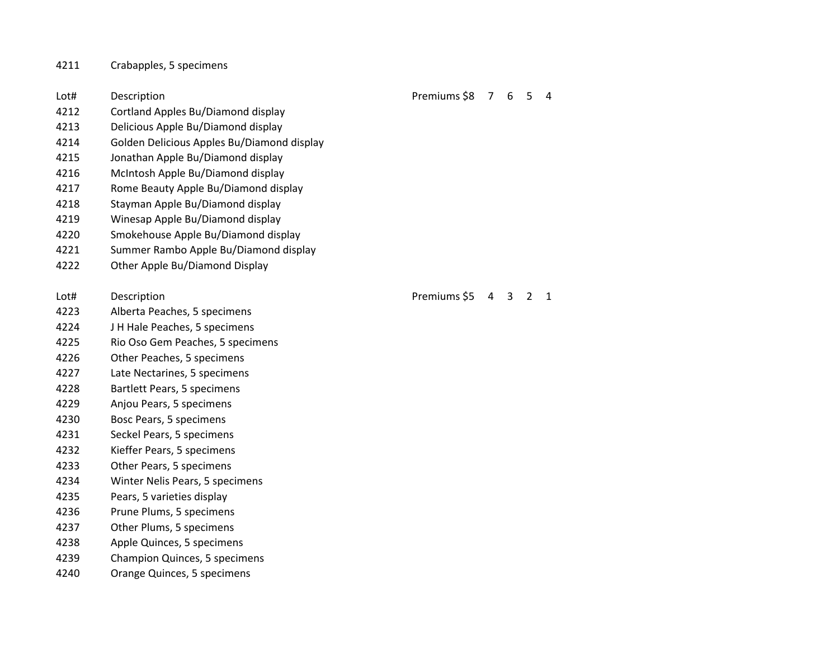## Crabapples, 5 specimens

| 4212 |                                            |              |   |   |                |   |
|------|--------------------------------------------|--------------|---|---|----------------|---|
|      | Cortland Apples Bu/Diamond display         |              |   |   |                |   |
| 4213 | Delicious Apple Bu/Diamond display         |              |   |   |                |   |
| 4214 | Golden Delicious Apples Bu/Diamond display |              |   |   |                |   |
| 4215 | Jonathan Apple Bu/Diamond display          |              |   |   |                |   |
| 4216 | McIntosh Apple Bu/Diamond display          |              |   |   |                |   |
| 4217 | Rome Beauty Apple Bu/Diamond display       |              |   |   |                |   |
| 4218 | Stayman Apple Bu/Diamond display           |              |   |   |                |   |
| 4219 | Winesap Apple Bu/Diamond display           |              |   |   |                |   |
| 4220 | Smokehouse Apple Bu/Diamond display        |              |   |   |                |   |
| 4221 | Summer Rambo Apple Bu/Diamond display      |              |   |   |                |   |
| 4222 | Other Apple Bu/Diamond Display             |              |   |   |                |   |
|      |                                            |              |   |   |                |   |
| Lot# | Description                                | Premiums \$5 | 4 | 3 | $\overline{2}$ | 1 |
| 4223 | Alberta Peaches, 5 specimens               |              |   |   |                |   |
| 4224 | J H Hale Peaches, 5 specimens              |              |   |   |                |   |
| 4225 | Rio Oso Gem Peaches, 5 specimens           |              |   |   |                |   |
| 4226 | Other Peaches, 5 specimens                 |              |   |   |                |   |
| 4227 | Late Nectarines, 5 specimens               |              |   |   |                |   |
| 4228 | Bartlett Pears, 5 specimens                |              |   |   |                |   |
| 4229 | Anjou Pears, 5 specimens                   |              |   |   |                |   |
| 4230 | Bosc Pears, 5 specimens                    |              |   |   |                |   |
| 4231 | Seckel Pears, 5 specimens                  |              |   |   |                |   |
| 4232 | Kieffer Pears, 5 specimens                 |              |   |   |                |   |
| 4233 | Other Pears, 5 specimens                   |              |   |   |                |   |
| 4234 | Winter Nelis Pears, 5 specimens            |              |   |   |                |   |
| 4235 | Pears, 5 varieties display                 |              |   |   |                |   |
| 4236 | Prune Plums, 5 specimens                   |              |   |   |                |   |
| 4237 | Other Plums, 5 specimens                   |              |   |   |                |   |
| 4238 | Apple Quinces, 5 specimens                 |              |   |   |                |   |
| 4239 | Champion Quinces, 5 specimens              |              |   |   |                |   |
| 4240 | Orange Quinces, 5 specimens                |              |   |   |                |   |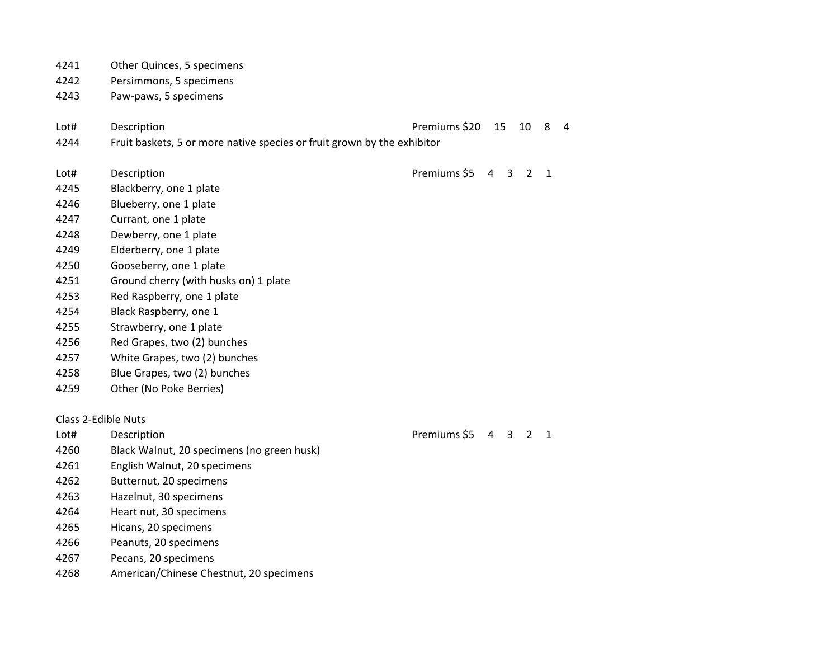|                     | 4241 | Other Quinces, 5 specimens                                              |               |                |   |                |              |   |
|---------------------|------|-------------------------------------------------------------------------|---------------|----------------|---|----------------|--------------|---|
|                     | 4242 | Persimmons, 5 specimens                                                 |               |                |   |                |              |   |
|                     | 4243 | Paw-paws, 5 specimens                                                   |               |                |   |                |              |   |
|                     |      |                                                                         |               |                |   |                |              |   |
|                     | Lot# | Description                                                             | Premiums \$20 | 15             |   | 10             | 8            | 4 |
|                     | 4244 | Fruit baskets, 5 or more native species or fruit grown by the exhibitor |               |                |   |                |              |   |
|                     | Lot# | Description                                                             | Premiums \$5  | $\overline{4}$ | 3 | 2              | $\mathbf{1}$ |   |
|                     | 4245 | Blackberry, one 1 plate                                                 |               |                |   |                |              |   |
|                     | 4246 | Blueberry, one 1 plate                                                  |               |                |   |                |              |   |
|                     | 4247 | Currant, one 1 plate                                                    |               |                |   |                |              |   |
|                     | 4248 | Dewberry, one 1 plate                                                   |               |                |   |                |              |   |
|                     | 4249 | Elderberry, one 1 plate                                                 |               |                |   |                |              |   |
|                     | 4250 | Gooseberry, one 1 plate                                                 |               |                |   |                |              |   |
|                     | 4251 | Ground cherry (with husks on) 1 plate                                   |               |                |   |                |              |   |
|                     | 4253 | Red Raspberry, one 1 plate                                              |               |                |   |                |              |   |
|                     | 4254 | Black Raspberry, one 1                                                  |               |                |   |                |              |   |
|                     | 4255 | Strawberry, one 1 plate                                                 |               |                |   |                |              |   |
|                     | 4256 | Red Grapes, two (2) bunches                                             |               |                |   |                |              |   |
|                     | 4257 | White Grapes, two (2) bunches                                           |               |                |   |                |              |   |
|                     | 4258 | Blue Grapes, two (2) bunches                                            |               |                |   |                |              |   |
|                     | 4259 | Other (No Poke Berries)                                                 |               |                |   |                |              |   |
|                     |      |                                                                         |               |                |   |                |              |   |
| Class 2-Edible Nuts |      |                                                                         |               |                |   |                |              |   |
|                     | Lot# | Description                                                             | Premiums \$5  | 4              | 3 | $\overline{2}$ | $\mathbf{1}$ |   |
|                     | 4260 | Black Walnut, 20 specimens (no green husk)                              |               |                |   |                |              |   |
|                     | 4261 | English Walnut, 20 specimens                                            |               |                |   |                |              |   |
|                     | 4262 | Butternut, 20 specimens                                                 |               |                |   |                |              |   |
|                     | 4263 | Hazelnut, 30 specimens                                                  |               |                |   |                |              |   |
|                     | 4264 | Heart nut, 30 specimens                                                 |               |                |   |                |              |   |
|                     | 4265 | Hicans, 20 specimens                                                    |               |                |   |                |              |   |
|                     | 4266 | Peanuts, 20 specimens                                                   |               |                |   |                |              |   |
|                     | 4267 | Pecans, 20 specimens                                                    |               |                |   |                |              |   |

American/Chinese Chestnut, 20 specimens